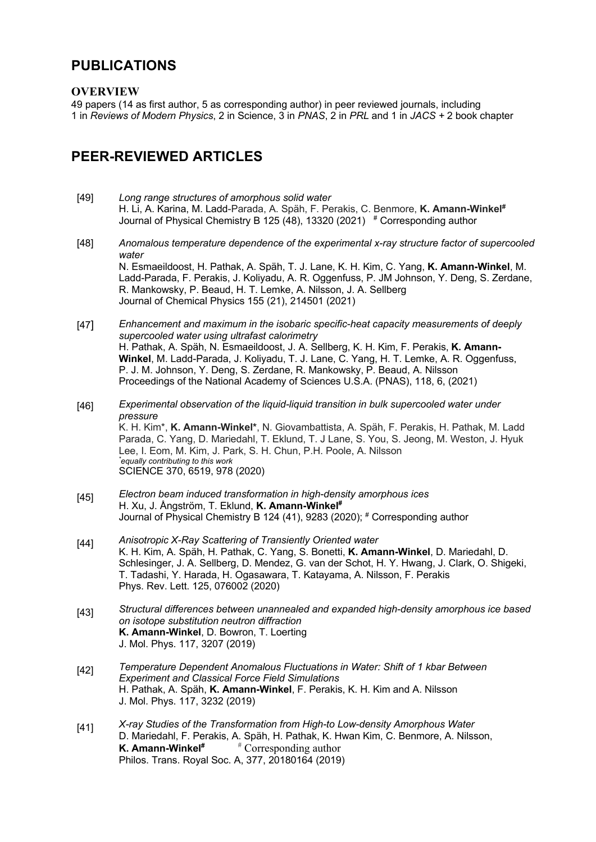## **PUBLICATIONS**

#### **OVERVIEW**

49 papers (14 as first author, 5 as corresponding author) in peer reviewed journals, including 1 in *Reviews of Modern Physics*, 2 in Science, 3 in *PNAS*, 2 in *PRL* and 1 in *JACS +* 2 book chapter

# **PEER-REVIEWED ARTICLES**

- [49] *Long range structures of amorphous solid water*  H. Li, A. Karina, M. Ladd-Parada, A. Späh, F. Perakis, C. Benmore, **K. Amann-Winkel#** Journal of Physical Chemistry B 125 (48), 13320 (2021) # Corresponding author
- [48] *Anomalous temperature dependence of the experimental x-ray structure factor of supercooled water* N. Esmaeildoost, H. Pathak, A. Späh, T. J. Lane, K. H. Kim, C. Yang, **K. Amann-Winkel**, M. Ladd-Parada, F. Perakis, J. Koliyadu, A. R. Oggenfuss, P. JM Johnson, Y. Deng, S. Zerdane, R. Mankowsky, P. Beaud, H. T. Lemke, A. Nilsson, J. A. Sellberg Journal of Chemical Physics 155 (21), 214501 (2021)
- [47] *Enhancement and maximum in the isobaric specific-heat capacity measurements of deeply supercooled water using ultrafast calorimetry* H. Pathak, A. Späh, N. Esmaeildoost, J. A. Sellberg, K. H. Kim, F. Perakis, **K. Amann-Winkel**, M. Ladd-Parada, J. Koliyadu, T. J. Lane, C. Yang, H. T. Lemke, A. R. Oggenfuss, P. J. M. Johnson, Y. Deng, S. Zerdane, R. Mankowsky, P. Beaud, A. Nilsson Proceedings of the National Academy of Sciences U.S.A. (PNAS), 118, 6, (2021)
- [46] *Experimental observation of the liquid-liquid transition in bulk supercooled water under pressure* K. H. Kim\*, **K. Amann-Winkel\***, N. Giovambattista, A. Späh, F. Perakis, H. Pathak, M. Ladd Parada, C. Yang, D. Mariedahl, T. Eklund, T. J Lane, S. You, S. Jeong, M. Weston, J. Hyuk Lee, I. Eom, M. Kim, J. Park, S. H. Chun, P.H. Poole, A. Nilsson *\* equally contributing to this work* SCIENCE 370, 6519, 978 (2020)
- [45] *Electron beam induced transformation in high-density amorphous ices* H. Xu, J. Ångström, T. Eklund, **K. Amann-Winkel#**  Journal of Physical Chemistry B 124 (41), 9283 (2020); # Corresponding author
- [44] *Anisotropic X-Ray Scattering of Transiently Oriented water* K. H. Kim, A. Späh, H. Pathak, C. Yang, S. Bonetti, **K. Amann-Winkel**, D. Mariedahl, D. Schlesinger, J. A. Sellberg, D. Mendez, G. van der Schot, H. Y. Hwang, J. Clark, O. Shigeki, T. Tadashi, Y. Harada, H. Ogasawara, T. Katayama, A. Nilsson, F. Perakis Phys. Rev. Lett. 125, 076002 (2020)
- [43] *Structural differences between unannealed and expanded high-density amorphous ice based on isotope substitution neutron diffraction* **K. Amann-Winkel**, D. Bowron, T. Loerting J. Mol. Phys. 117, 3207 (2019)
- [42] *Temperature Dependent Anomalous Fluctuations in Water: Shift of 1 kbar Between Experiment and Classical Force Field Simulations* H. Pathak, A. Späh, **K. Amann-Winkel**, F. Perakis, K. H. Kim and A. Nilsson J. Mol. Phys. 117, 3232 (2019)
- [41] *X-ray Studies of the Transformation from High-to Low-density Amorphous Water* D. Mariedahl, F. Perakis, A. Späh, H. Pathak, K. Hwan Kim, C. Benmore, A. Nilsson, **K. Amann-Winkel**<sup>#</sup> <sup>#</sup> Corresponding author Philos. Trans. Royal Soc. A, 377, 20180164 (2019)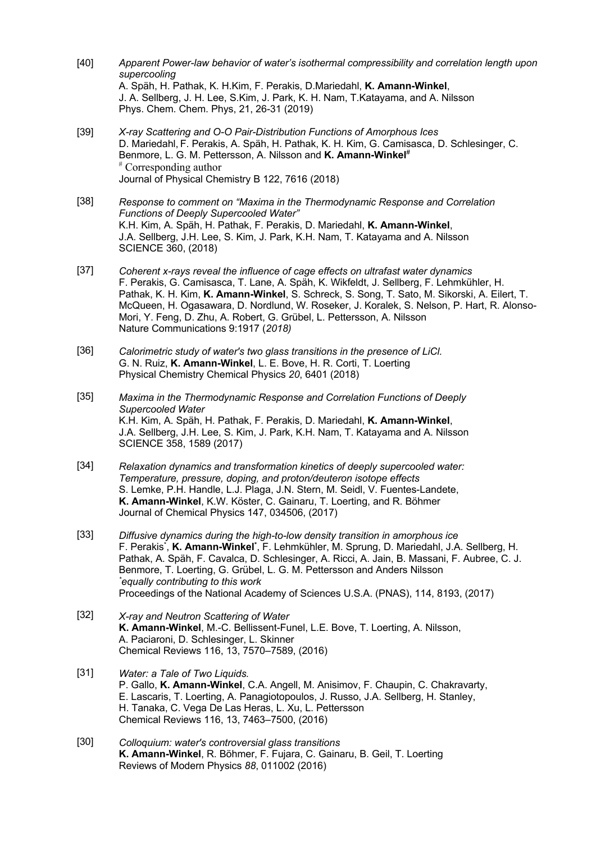- [40] *Apparent Power-law behavior of water's isothermal compressibility and correlation length upon supercooling* A. Späh, H. Pathak, K. H.Kim, F. Perakis, D.Mariedahl, **K. Amann-Winkel**, J. A. Sellberg, J. H. Lee, S.Kim, J. Park, K. H. Nam, T.Katayama, and A. Nilsson Phys. Chem. Chem. Phys, 21, 26-31 (2019)
- [39] *X-ray Scattering and O-O Pair-Distribution Functions of Amorphous Ices* D. Mariedahl, F. Perakis, A. Späh, H. Pathak, K. H. Kim, G. Camisasca, D. Schlesinger, C. Benmore, L. G. M. Pettersson, A. Nilsson and **K. Amann-Winkel**# # Corresponding author Journal of Physical Chemistry B 122, 7616 (2018)
- [38] *Response to comment on "Maxima in the Thermodynamic Response and Correlation Functions of Deeply Supercooled Water"* K.H. Kim, A. Späh, H. Pathak, F. Perakis, D. Mariedahl, **K. Amann-Winkel**, J.A. Sellberg, J.H. Lee, S. Kim, J. Park, K.H. Nam, T. Katayama and A. Nilsson SCIENCE 360, (2018)
- [37] *Coherent x-rays reveal the influence of cage effects on ultrafast water dynamics* F. Perakis, G. Camisasca, T. Lane, A. Späh, K. Wikfeldt, J. Sellberg, F. Lehmkühler, H. Pathak, K. H. Kim, **K. Amann-Winkel**, S. Schreck, S. Song, T. Sato, M. Sikorski, A. Eilert, T. McQueen, H. Ogasawara, D. Nordlund, W. Roseker, J. Koralek, S. Nelson, P. Hart, R. Alonso-Mori, Y. Feng, D. Zhu, A. Robert, G. Grübel, L. Pettersson, A. Nilsson Nature Communications 9:1917 (*2018)*
- [36] *Calorimetric study of water's two glass transitions in the presence of LiCl.* G. N. Ruiz, **K. Amann-Winkel**, L. E. Bove, H. R. Corti, T. Loerting Physical Chemistry Chemical Physics *20*, 6401 (2018)
- [35] *Maxima in the Thermodynamic Response and Correlation Functions of Deeply Supercooled Water* K.H. Kim, A. Späh, H. Pathak, F. Perakis, D. Mariedahl, **K. Amann-Winkel**, J.A. Sellberg, J.H. Lee, S. Kim, J. Park, K.H. Nam, T. Katayama and A. Nilsson SCIENCE 358, 1589 (2017)
- [34] *Relaxation dynamics and transformation kinetics of deeply supercooled water: Temperature, pressure, doping, and proton/deuteron isotope effects* S. Lemke, P.H. Handle, L.J. Plaga, J.N. Stern, M. Seidl, V. Fuentes-Landete, **K. Amann-Winkel**, K.W. Köster, C. Gainaru, T. Loerting, and R. Böhmer Journal of Chemical Physics 147, 034506, (2017)
- [33] *Diffusive dynamics during the high-to-low density transition in amorphous ice*  F. Perakis<sup>\*</sup>, K. Amann-Winkel<sup>\*</sup>, F. Lehmkühler, M. Sprung, D. Mariedahl, J.A. Sellberg, H. Pathak, A. Späh, F. Cavalca, D. Schlesinger, A. Ricci, A. Jain, B. Massani, F. Aubree, C. J. Benmore, T. Loerting, G. Grübel, L. G. M. Pettersson and Anders Nilsson *\* equally contributing to this work* Proceedings of the National Academy of Sciences U.S.A. (PNAS), 114, 8193, (2017)
- [32] *X-ray and Neutron Scattering of Water* **K. Amann-Winkel**, M.-C. Bellissent-Funel, L.E. Bove, T. Loerting, A. Nilsson, A. Paciaroni, D. Schlesinger, L. Skinner Chemical Reviews 116, 13, 7570–7589, (2016)
- [31] *Water: a Tale of Two Liquids.* P. Gallo, **K. Amann-Winkel**, C.A. Angell, M. Anisimov, F. Chaupin, C. Chakravarty, E. Lascaris, T. Loerting, A. Panagiotopoulos, J. Russo, J.A. Sellberg, H. Stanley, H. Tanaka, C. Vega De Las Heras, L. Xu, L. Pettersson Chemical Reviews 116, 13, 7463–7500, (2016)
- [30] *Colloquium: water's controversial glass transitions* **K. Amann-Winkel**, R. Böhmer, F. Fujara, C. Gainaru, B. Geil, T. Loerting Reviews of Modern Physics *88*, 011002 (2016)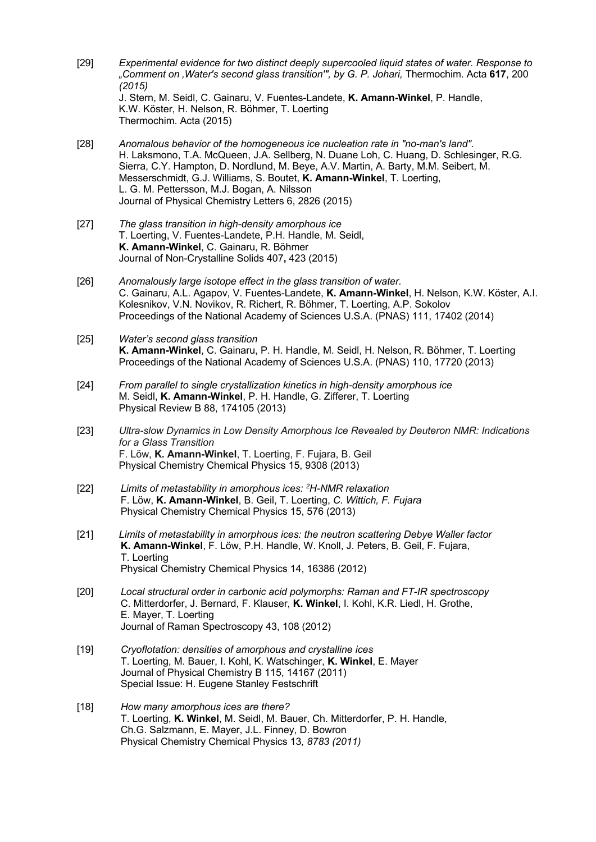- [29] *Experimental evidence for two distinct deeply supercooled liquid states of water. Response to "Comment on 'Water's second glass transition'", by G. P. Johari,* Thermochim. Acta **617**, 200 *(2015)* J. Stern, M. Seidl, C. Gainaru, V. Fuentes-Landete, **K. Amann-Winkel**, P. Handle, K.W. Köster, H. Nelson, R. Böhmer, T. Loerting Thermochim. Acta (2015)
- [28] *Anomalous behavior of the homogeneous ice nucleation rate in "no-man's land".* H. Laksmono, T.A. McQueen, J.A. Sellberg, N. Duane Loh, C. Huang, D. Schlesinger, R.G. Sierra, C.Y. Hampton, D. Nordlund, M. Beye, A.V. Martin, A. Barty, M.M. Seibert, M. Messerschmidt, G.J. Williams, S. Boutet, **K. Amann-Winkel**, T. Loerting, L. G. M. Pettersson, M.J. Bogan, A. Nilsson Journal of Physical Chemistry Letters 6, 2826 (2015)
- [27] *The glass transition in high-density amorphous ice* T. Loerting, V. Fuentes-Landete, P.H. Handle, M. Seidl, **K. Amann-Winkel**, C. Gainaru, R. Böhmer Journal of Non-Crystalline Solids 407**,** 423 (2015)
- [26] *Anomalously large isotope effect in the glass transition of water.* C. Gainaru, A.L. Agapov, V. Fuentes-Landete, **K. Amann-Winkel**, H. Nelson, K.W. Köster, A.I. Kolesnikov, V.N. Novikov, R. Richert, R. Böhmer, T. Loerting, A.P. Sokolov Proceedings of the National Academy of Sciences U.S.A. (PNAS) 111, 17402 (2014)

#### [25] *Water's second glass transition* **K. Amann-Winkel**, C. Gainaru, P. H. Handle, M. Seidl, H. Nelson, R. Böhmer, T. Loerting Proceedings of the National Academy of Sciences U.S.A. (PNAS) 110, 17720 (2013)

- [24] *From parallel to single crystallization kinetics in high-density amorphous ice* M. Seidl, **K. Amann-Winkel**, P. H. Handle, G. Zifferer, T. Loerting Physical Review B 88, 174105 (2013)
- [23] *Ultra-slow Dynamics in Low Density Amorphous Ice Revealed by Deuteron NMR: Indications for a Glass Transition* F. Löw, **K. Amann-Winkel**, T. Loerting, F. Fujara, B. Geil Physical Chemistry Chemical Physics 15, 9308 (2013)
- [22] *Limits of metastability in amorphous ices: 2H-NMR relaxation* F. Löw, **K. Amann-Winkel**, B. Geil, T. Loerting, *C. Wittich, F. Fujara* Physical Chemistry Chemical Physics 15, 576 (2013)
- [21] *Limits of metastability in amorphous ices: the neutron scattering Debye Waller factor* **K. Amann-Winkel**, F. Löw, P.H. Handle, W. Knoll, J. Peters, B. Geil, F. Fujara, T. Loerting Physical Chemistry Chemical Physics 14, 16386 (2012)
- [20] *Local structural order in carbonic acid polymorphs: Raman and FT-IR spectroscopy* C. Mitterdorfer, J. Bernard, F. Klauser, **K. Winkel**, I. Kohl, K.R. Liedl, H. Grothe, E. Mayer, T. Loerting Journal of Raman Spectroscopy 43, 108 (2012)
- [19] *Cryoflotation: densities of amorphous and crystalline ices* T. Loerting, M. Bauer, I. Kohl, K. Watschinger, **K. Winkel**, E. Mayer Journal of Physical Chemistry B 115, 14167 (2011) Special Issue: H. Eugene Stanley Festschrift
- [18] *How many amorphous ices are there?* T. Loerting, **K. Winkel**, M. Seidl, M. Bauer, Ch. Mitterdorfer, P. H. Handle, Ch.G. Salzmann, E. Mayer, J.L. Finney, D. Bowron Physical Chemistry Chemical Physics 13*, 8783 (2011)*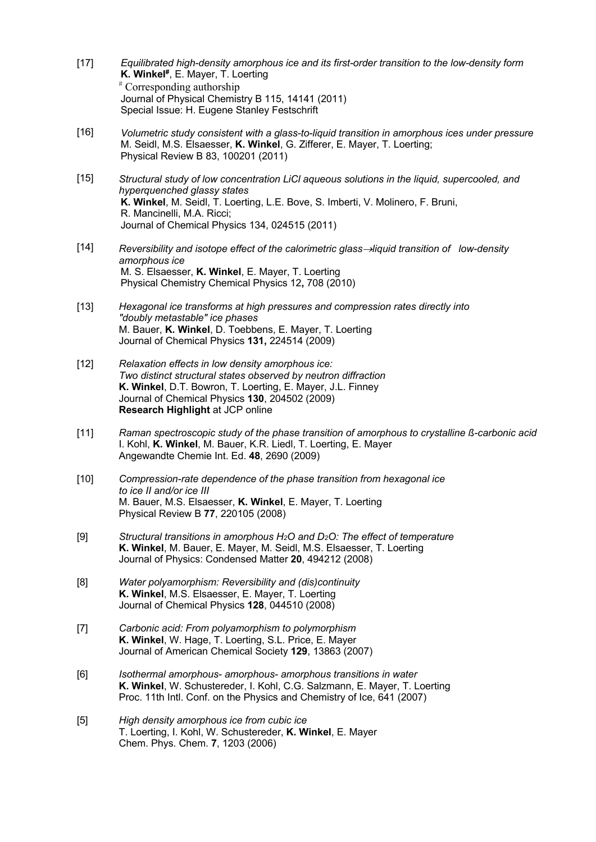- $[17]$ *Equilibrated high-density amorphous ice and its first-order transition to the low-density form* **K. Winkel#**, E. Mayer, T. Loerting # Corresponding authorship Journal of Physical Chemistry B 115, 14141 (2011) Special Issue: H. Eugene Stanley Festschrift
- $[16]$ *Volumetric study consistent with a glass-to-liquid transition in amorphous ices under pressure* M. Seidl, M.S. Elsaesser, **K. Winkel**, G. Zifferer, E. Mayer, T. Loerting; Physical Review B 83, 100201 (2011)
- [15] *Structural study of low concentration LiCl aqueous solutions in the liquid, supercooled, and hyperquenched glassy states* **K. Winkel**, M. Seidl, T. Loerting, L.E. Bove, S. Imberti, V. Molinero, F. Bruni, R. Mancinelli, M.A. Ricci; Journal of Chemical Physics 134, 024515 (2011)
- $[14]$ *Reversibility and isotope effect of the calorimetric glass*®*liquid transition of low-density amorphous ice* M. S. Elsaesser, **K. Winkel**, E. Mayer, T. Loerting Physical Chemistry Chemical Physics 12**,** 708 (2010)
- [13] *Hexagonal ice transforms at high pressures and compression rates directly into "doubly metastable" ice phases* M. Bauer, **K. Winkel**, D. Toebbens, E. Mayer, T. Loerting Journal of Chemical Physics **131,** 224514 (2009)
- [12] *Relaxation effects in low density amorphous ice: Two distinct structural states observed by neutron diffraction* **K. Winkel**, D.T. Bowron, T. Loerting, E. Mayer, J.L. Finney Journal of Chemical Physics **130**, 204502 (2009) **Research Highlight** at JCP online
- [11] *Raman spectroscopic study of the phase transition of amorphous to crystalline ß-carbonic acid* I. Kohl, **K. Winkel**, M. Bauer, K.R. Liedl, T. Loerting, E. Mayer Angewandte Chemie Int. Ed. **48**, 2690 (2009)
- [10] *Compression-rate dependence of the phase transition from hexagonal ice to ice II and/or ice III* M. Bauer, M.S. Elsaesser, **K. Winkel**, E. Mayer, T. Loerting Physical Review B **77**, 220105 (2008)
- [9] *Structural transitions in amorphous H2O and D2O: The effect of temperature* **K. Winkel**, M. Bauer, E. Mayer, M. Seidl, M.S. Elsaesser, T. Loerting Journal of Physics: Condensed Matter **20**, 494212 (2008)
- [8] *Water polyamorphism: Reversibility and (dis)continuity* **K. Winkel**, M.S. Elsaesser, E. Mayer, T. Loerting Journal of Chemical Physics **128**, 044510 (2008)
- [7] *Carbonic acid: From polyamorphism to polymorphism* **K. Winkel**, W. Hage, T. Loerting, S.L. Price, E. Mayer Journal of American Chemical Society **129**, 13863 (2007)
- [6] *Isothermal amorphous- amorphous- amorphous transitions in water* **K. Winkel**, W. Schustereder, I. Kohl, C.G. Salzmann, E. Mayer, T. Loerting Proc. 11th Intl. Conf. on the Physics and Chemistry of Ice, 641 (2007)
- [5] *High density amorphous ice from cubic ice* T. Loerting, I. Kohl, W. Schustereder, **K. Winkel**, E. Mayer Chem. Phys. Chem. **7**, 1203 (2006)